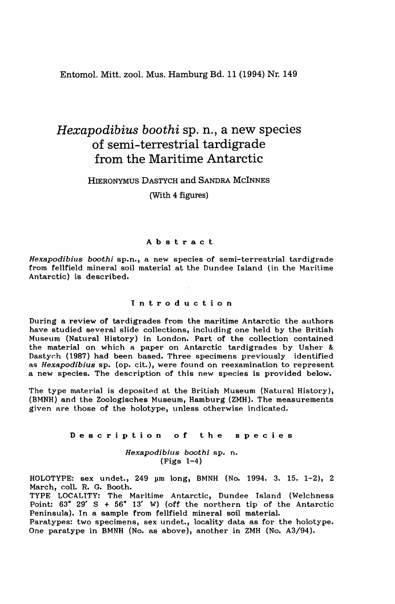Entomol. Mitt. zool. Mus. Hamburg Bd. 11 (1994) Nr. 149

# *Hexapodibius boothi* Sp. n., a new species of semi-terrestrial tardigrade from the Maritime Antarctic

# HIERONYMUS DASTYCH and SANDRA McINNES

(With 4 figures)

# Abstract

*Hexapodibius boothi* sp.n., a new species of semi-terrestrial tardigrade from fellfield mineral soil material at the Dundee Island (in the Maritime Antarctic) is described.

## Introduction

During a review of tardigrades from the maritime Antarctic the authors have studied several slide collections, including one held by the British Museum (Natural History) in London. Part of the collection contained the material on which a paper on Antarctic tardigrades by Usher & Dastych (1987) had been based. Three specimens previously identified as *Hexapodibius* sp. (op. cit.), were found on reexamination to represent a new species. The description of this new species is provided below.

The type material is deposited at the British Museum (Natural History), (BMNH) and the Zoologisches Museum, Hamburg (ZMH). The measurements given are those of the holotype, unless otherwise indicated.

### Description of the species

*Hexapodibius boothi* sp. n. (Figs 1-4)

HOLOTYPE: sex undet., 249 µm long, BMNH (No. 1994. 3. 15. 1-2), 2 March, coll. R. G. Booth.

TYPE LOCALITY: The Maritime Antarctic, Dundee Island (Welchness Point:  $63^{\circ}$  29' S + 56° 13' W) (off the northern tip of the Antarctic Peninsula). In a sample from fellfield mineral soil material.

Paratypes: two specimens, sex undet., locality data as for the holotype. One paratype in BMNH (No. as above), another in ZMH (No. A3/94).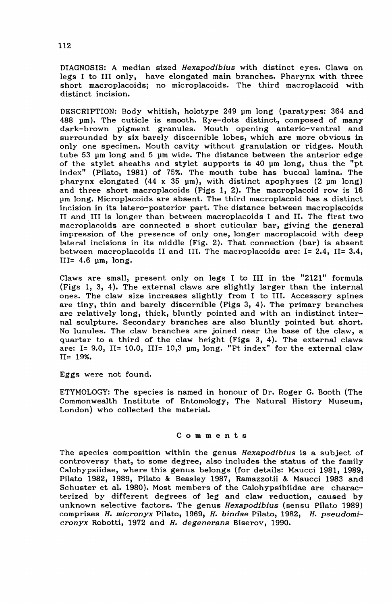DIAGNOSIS: A median sized Hexapodibius with distinct eyes. Claws on legs I to III only, have elongated main branches. Pharynx with three short macroplacoids; no microplacoids. The third macroplacoid with distinct incision.

DESCRIPTION: Body whitish, holotype 249 um long (paratypes: 364 and 488 pm). The cuticle is smooth. Eye-dots distinct, composed of many dark-brown pigment granules. Mouth opening anterio-ventral and surrounded by six barely discernible lobes, which are more obvious in only one specimen. Mouth cavity without granulation or ridges. Mouth tube 53 um long and 5 um wide. The distance between the anterior edge of the stylet sheaths and stylet supports is  $40 \text{ µm}$  long, thus the "pt index" (Pilato, 1981) of 75%. The mouth tube has buccal lamina. The pharynx elongated (44 x 35 pm), with distinct apophyses (2 pm long) and three short macroplacoids (Figs 1, 2). The macroplacoid row is 16 pm long. Microplacoids are absent. The third macroplacoid has a distinct incision in its latero-posterior part. The distance between macroplacoids It and III is longer than between macroplacoids I and 11. The first two macroplacoids are connected a short cuticular bar, giving the general impression of the presence of only one, longer macroplacoid with deep lateral incisions in its middle (Fig. 2). That connection (bar) is absent between macroplacoids 11 and lIt. The macroplacoids are: 1= 2.4, 11= 3.4,  $III = 4.6$   $µm$ , long.

Claws are small, present only on legs I to III in the "2121" formula (Figs 1, 3, 4). The external claws are slightly larger than the internal ones. The claw size increases slightly from I to Ill. Accessory spines are tiny, thin and barely discernible (Figs 3, 4). The primary branches are relatively long, thick, bluntly pointed and with an indistinct internal sculpture. Secondary branches are also bluntly pointed but short. No lunules. The claw branches are joined near the base of the claw, a quarter to a third of the claw height (Figs  $3, 4$ ). The external claws are:  $I = 9.0$ ,  $II = 10.0$ ,  $III = 10.3$   $µm$ ,  $long.$  "Pt index" for the external claw 11= 19%.

Eggs were not found.

ETYMOLOGY: The species is named in honour of Dr. Roger G. Booth (The Commonwealth Institute of Entomology, The Natural History Museum, London) who collected the material.

#### Comments

The species composition within the genus Hexapodibius is a subject of controversy that, to some degree, also includes the status of the family Calohypsiidae, where this genus belongs (for details: Maucci 1981, 1989, Pilato 1982, 1989, Pilato & Beasley 1987, Ramazzotii & Maucci 1983 and Schuster et al. 1980). Most members of the Calohypsibiidae are characterized by different degrees of leg and claw reduction, caused by unknown selective factors. The genus Hexapodibius (sensu Pilato 1989) comprises H. micronyx Pilato, 1969, H. bindae Pilato, 1982, H. pseudomicronyx Robotti, 1972 and H. degenerans Biserov, 1990.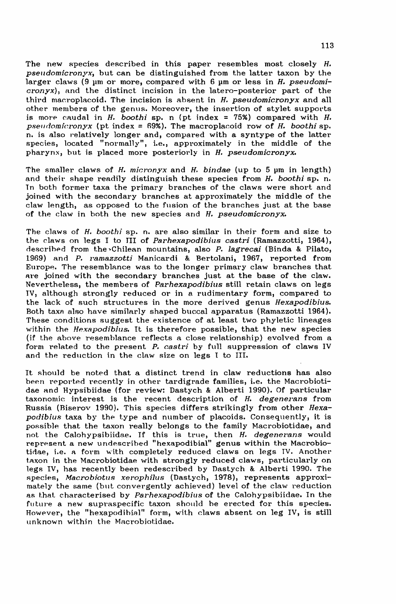The new species described in this paper resembles most closely H. pseudomicronyx, but can be distinguished from the latter taxon by the larger claws (9 um or more, compared with 6 um or less in *H. pseudomicronyx)*, and the distinct incision in the latero-posterior part of the third mac.roplaeoid. The incision is absent in H. *pseudomicronyx* and all other members of the genus. Moreover, the insertion of stylet supports is more caudal in  $H$ . *boothi* sp. n (pt index = 75%) compared with  $H$ . *pselldomicronyx* (pt index = n9%). The macroplacoid row of H. *boothi* sp. n. is also relatively longer and, compared with a syntype of the latter species, located "normally", i.e., approximately in the middle of the pharynx, but is placed more posteriorly in H. *pseudomicronyx.*

The smaller claws of H. *micronyx* and H. *bindae* (up to 5 pm in length) and their shape readily distinguish these species from H. boothi sp. n. Tn both former taxa the primary branches of the claws were short and joined with the secondary branches at approximately the middle of the claw length, as opposed to the fusion of the branches just at the base of the claw in both the new species and H. *pseudomicronyx.*

The claws of H. *boothi* sp. n. are also similar in their form and size to the claws on legs 1 to III of *Parhexapodibius castri* (Ramazzotti, 1964), descrihpd from the ~Chilean mountains, also P. *lagrecai* (Binda & Pilato, 1969) and P. *ramazzotti* Manicardi & Bertolani, 1967, reported from Europe. The resemblance was to the longer primary claw branches that Are joined with the secondary branches just at the base of the claw. Nevertheless, the members of *Parhexapodibius* still retain claws on legs IV, although strongly reduced or in a rudimentary form, compared to the lack of such structures in the more derived genus *Hexapodibius.* Both taXA also have similarly shaped buccal apparatus (Ramazzotti 1964). These eonditions suggest the existence of at least two phyletic lineages within the *Hexapodibius*. It is therefore possible, that the new species (if the above resemblance reflects a close relationship) evolved from a form related to the present P. *castri* by full suppression of claws IV and the reduction in the claw size on legs 1 to Ill.

It should be noted that a distinct trend in claw reductions has also been reported recently in other tardigrade families, i.e. the Macrobiotidae and Hypsibiidae (for review: Dastych &. Alberti 1990). Of particular taxonomic interest is the recent description of H. degenerans from Russia (Biserov 1990). This species differs strikingly from other *Hexapodibius* taxa by the type and number of placoids. Consequently, it is possible that the taxon really belongs to the family Macrobiotidae, and not the Calohypsibiidae. If this is true, then *H. degenerans* would represent a new undescribed "hexapodibial" genus within the Macrobiotidae, i.e. a form with completely reduced claws on legs IV. Another taxon in the Macrobiotidae with strongly reduced claws, particularly on legs IV, has recently been redescribed by Dastych & Alberti 1990. The species, *l\facrobiotus xerophill.ls* (Dastych, 1978), represents approximately the same (but convergently achieved) level of the claw reduction as that characterised by *Parhexapodibius* of the Calohypsibiidae. In the future a new supraspecific taxon should he erected for this species. However, the "hexapodihial" form, with claws absent on leg IV, is still unknown within the Macrobiotidae.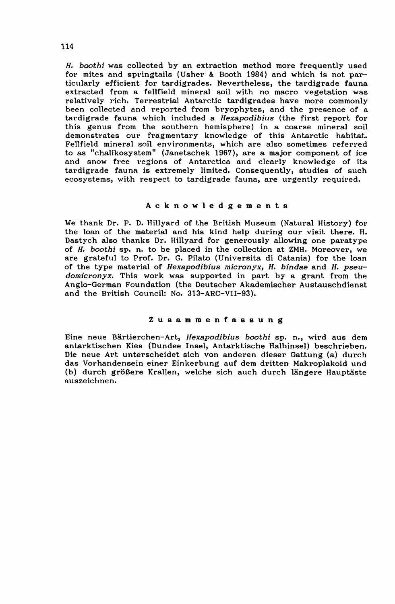*H. boothi* was collected by an extraction method more frequently used for mites and springtails (Usher & Booth 1984) and which is not particularly efficient for tardigrades. Nevertheless, the tardigrade fauna extracted from a fellfield mineral soil with no macro vegetation was relatively rich. Terrestrial Antarctic tardigrades have more commonly been collected and reported from bryophytes, and the presence of a tardigrade fauna which included a *Hexapodibius* (the first report for this genus from the southern hemisphere) in a coarse mineral soil demonstrates our fragmentary knowledge of this Antarctic habitat. Fellfield mineral soil environments, which are also sometimes referred to as "chalikosystem" (Janetschek 1967), are a major component of ice and snow free regions of Antarctica and clearly knowledge of its tardigrade fauna is extremely limited. Consequently, studies of such ecosystems, with respect to tardigrade fauna, are urgently required.

### Acknowledgements

We thank Dr. P. D. Hillyard of the British Museum (Natural History) for the loan of the material and his kind help during our visit there. H. Dastych also thanks Dr. Hillyard for generously allowing one paratype of *H. boothi* ap. n. to be placed in the collection at ZMH. Moreover, we are grateful to Prof. Dr. G. Pilato (Universita di Catania) for the loan of the type material of *Hexapodibius micronyx, H. bindae* and *H. pseudomicronyx.* This work was supported in part by a grant from the Anglo-German Foundation (the Deutscher Akademischer Austauschdienst and the British Council: No. 313-ARC-VII-93).

#### ZusammenfasBung

Eine neue Bartierchen-Art, *Hexapodibius boothi* sp. n., wird aus dem antarktischen Kies (Dundee. Insel, Antarktische Halbinsel) beschrieben. Die neue Art unterscheidet sich von anderen dieser Gattung (a) durch das Vorhandensein einer Einkerbung auf dem dritten Makroplakoid und (b) durch größere Krallen, welche sich auch durch längere Hauptäste auszeichnen.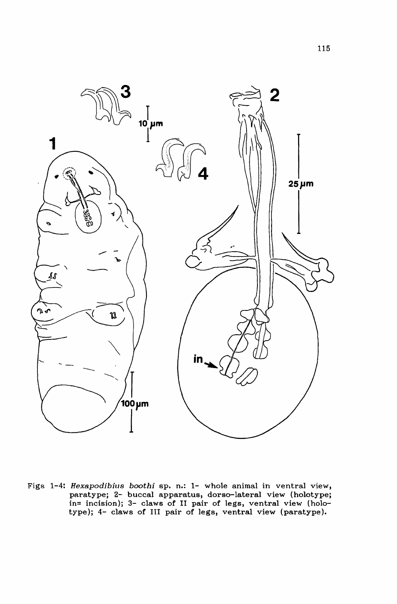

Figs 1-4: *Hexapodibius boothi* sp. n.: 1- whole animal in ventral view, paratype; 2- buccal apparatus, dorso-lateral view (holotype; in= incision); 3- claws of 11 pair of legs, ventral view (holotype); 4- claws af III pair of legs, ventral view (paratype).

115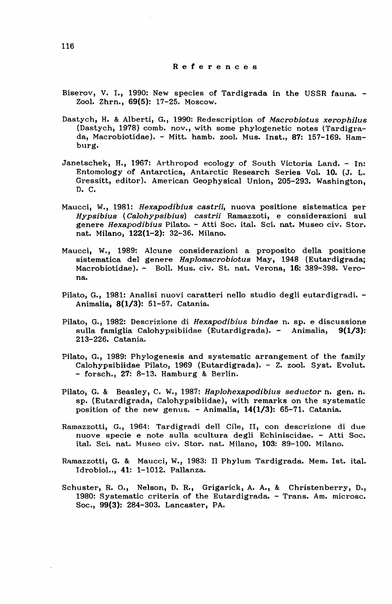#### References

- Biserov, V. I., 1990: New species of Tardigrada in the USSR fauna. Zool. Zhrn., 69(5): 17-25. Moscow.
- Dastych, H. & Alberti, G., 1990: Redescription of *Macrobiotus xerophilus* (Dastych, 1978) comb. nov., with some phylogenetic notes (Tardigrada, Macrobiotidae). - Mitt. hamb. zool. Mus. Inst., 87: 157-169. Hamburg.
- Janetschek, H., 1967: Arthropod ecology of South Victoria Land. In: Entomology of Antarctica, Antarctic Research Series Vol. 10. (J. L. Gressitt, editor). American Geophysical Union, 205-293. Washington, D. C.
- Maucci, W., 1981: *Hexapodibius castrii,* nuova positione sistematica per *Hypsibius (Calohypsibius) castrii* Ramazzoti, e considerazioni suI genere *Hexapodibius* Pilato. - Atti Soc. ital. Sci. nat. Museo civ. Stor. nat. Milano, 122(1-2): 32-36. Milano.
- Maucci, W., 1989: Alcune considerazioni a proposito della positione sistematica del genere *Haplomacrobiotus* May, 1948 (Eutardigradaj Macrobiotidae). - Boll. Mus. civ. St. nat. Verona, 16: 389-398. Verona.
- Pilato, G., 1981: Analisi nuovi caratteri nello studio degli eutardigradi. Animalia, 8(1/3): 51-57. Catania.
- Pilato, G., 1982: Descrizione di *Hexapodibius bindae* n. sp. e discussione sulla famiglia Calohypsibiidae (Eutardigrada). - Animalia, 9(1/3): 213-226. Catania.
- Pilato, G., 1989: Phylogenesis and systematic arrangement of the family Calohypsibiidae Pilato, 1969 (Eutardigrada). - Z. zool. Syst. Evolut. - forsch., 27: 8-13. Hamburg & Berlin.
- Pilato, G. &. Beasley, C. W., 1987: *Haplohexapodibius seductor* n. gen. n. sp. (Eutardigrada, Calohypsibiidae), with remarks on the systematic position of the new genus. - Animalia, 14(1/3): 65-71. Catania.
- Ramazzotti, G., 1964: Tardigradi dell Cile, II, con descrizione di due nuove specie e note sulla scultura degli Echiniscidae. - Atti Soc. ital. Sci. nat. Museo civ. Stor. nat. Milano, 103: 89-100. Milano.
- Ramazzotti, G. & Maucci, W., 1983: Il Phylum Tardigrada. Mem. 1st. ital. Idrobiol•., 41: 1-1012. Pallanza.
- Schuster, R. 0., Nelson, D. R., Grigarick, A. A., & Christenberry, D., 1980: Systematic criteria of the Eutardigrada. - Trans. Am. microsc. Soc., 99(3): 284-303. Lancaster, PA.